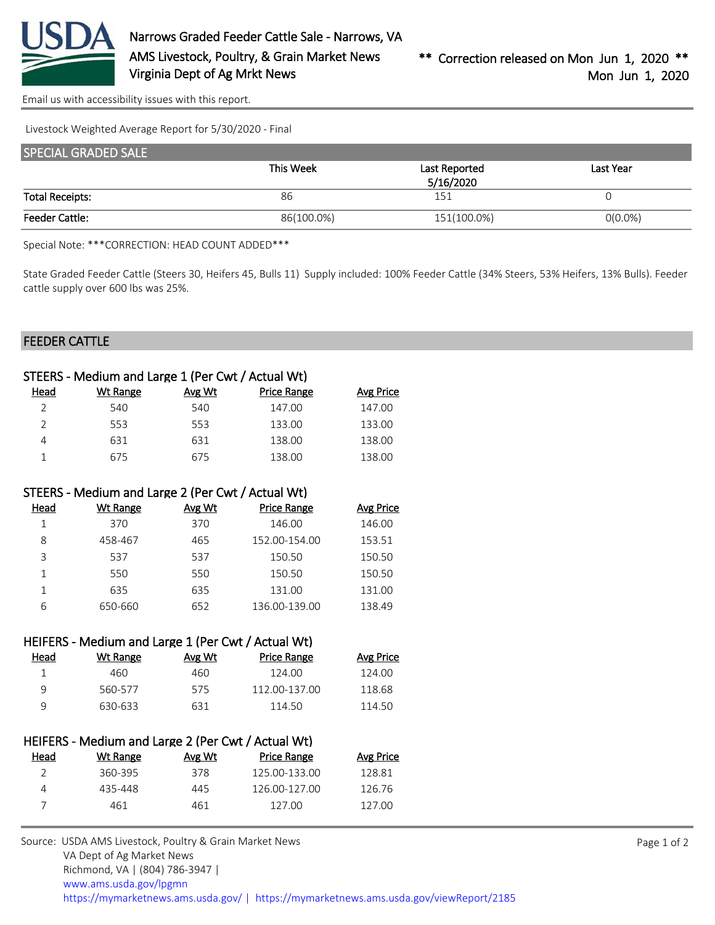

[Email us with accessibility issues with this report.](mailto:mars@ams.usda.gov?subject=508%20issue)

Livestock Weighted Average Report for 5/30/2020 - Final

| <b>SPECIAL GRADED SALE</b> |            |               |            |
|----------------------------|------------|---------------|------------|
|                            | This Week  | Last Reported | Last Year  |
|                            |            | 5/16/2020     |            |
| <b>Total Receipts:</b>     | 86         | 151           |            |
| <b>Feeder Cattle:</b>      | 86(100.0%) | 151(100.0%)   | $0(0.0\%)$ |

Special Note: \*\*\*CORRECTION: HEAD COUNT ADDED\*\*\*

State Graded Feeder Cattle (Steers 30, Heifers 45, Bulls 11) Supply included: 100% Feeder Cattle (34% Steers, 53% Heifers, 13% Bulls). Feeder cattle supply over 600 lbs was 25%.

## FEEDER CATTLE

|      | STEERS - Medium and Large 1 (Per Cwt / Actual Wt) |        |                    |           |
|------|---------------------------------------------------|--------|--------------------|-----------|
| Head | Wt Range                                          | Avg Wt | <b>Price Range</b> | Avg Price |
|      | 540                                               | 540    | 147.00             | 147.00    |
|      | 553                                               | 553    | 133.00             | 133.00    |
| 4    | 631                                               | 631    | 138.00             | 138.00    |
|      | 675                                               | 675    | 138.00             | 138.00    |

## STEERS - Medium and Large 2 (Per Cwt / Actual Wt)

| Head | Wt Range | Avg Wt | <b>Price Range</b> | <b>Avg Price</b> |
|------|----------|--------|--------------------|------------------|
|      | 370      | 370    | 146.00             | 146.00           |
| 8    | 458-467  | 465    | 152.00-154.00      | 153.51           |
| 3    | 537      | 537    | 150.50             | 150.50           |
|      | 550      | 550    | 150.50             | 150.50           |
|      | 635      | 635    | 131.00             | 131.00           |
| 6    | 650-660  | 652    | 136.00-139.00      | 138.49           |

|      | HEIFERS - Medium and Large 1 (Per Cwt / Actual Wt) |        |                    |           |
|------|----------------------------------------------------|--------|--------------------|-----------|
| Head | Wt Range                                           | Avg Wt | <b>Price Range</b> | Avg Price |
|      | 460                                                | 460    | 124.00             | 124.00    |
| q    | 560-577                                            | 575    | 112.00-137.00      | 118.68    |
| q    | 630-633                                            | 631    | 114.50             | 114.50    |

|               | HEIFERS - Medium and Large 2 (Per Cwt / Actual Wt) |        |                    |           |
|---------------|----------------------------------------------------|--------|--------------------|-----------|
| Head          | Wt Range                                           | Avg Wt | <b>Price Range</b> | Avg Price |
| $\mathcal{L}$ | 360-395                                            | 378    | 125.00-133.00      | 128.81    |
| 4             | 435-448                                            | 445    | 126.00-127.00      | 126.76    |
|               | 461                                                | 461    | 127.00             | 127.00    |